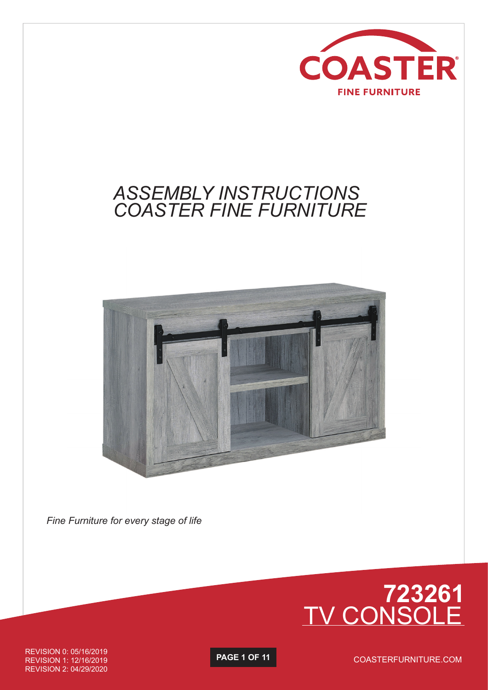

## *ASSEMBLY INSTRUCTIONS COASTER FINE FURNITURE*



*Fine Furniture for every stage of life*



REVISION 0: 05/16/2019 REVISION 1: 12/16/2019 REVISION 2: 04/29/2020

**PAGE 1 OF 11**

COASTERFURNITURE.COM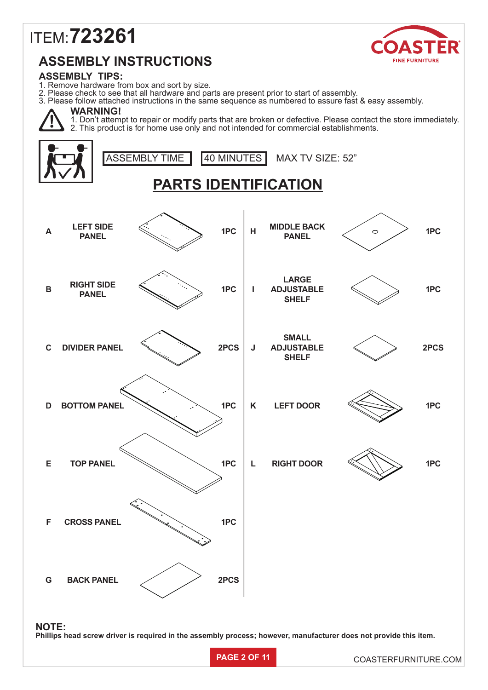# ITEM: **723261**



### **ASSEMBLY INSTRUCTIONS**

#### **ASSEMBLY TIPS:**

- 1. Remove hardware from box and sort by size.
- 2. Please check to see that all hardware and parts are present prior to start of assembly.
- 3. Please follow attached instructions in the same sequence as numbered to assure fast & easy assembly.

## **WARNING!**

1. Don't attempt to repair or modify parts that are broken or defective. Please contact the store immediately. 2. This product is for home use only and not intended for commercial establishments.

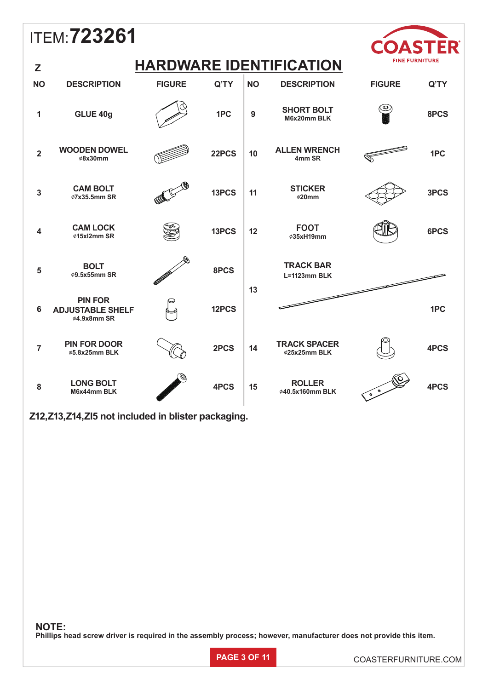#### ITEM: **723261**  $\bigcap$ **FINE FURNITURE HARDWARE IDENTIFICATION Z NO DESCRIPTION FIGURE Q'TY NO DESCRIPTION FIGURE Q'TY**  ⊕ **<sup>9</sup> SHORT BOLT**  1 **GLUE 40g 1PC M6x20mm BLK 8PCS <sup>2</sup> WOODEN DOWEL <sup>10</sup> ALLEN WRENCH**  VDEN DOWEL<br><sup>∲8x30mm</sup> 22PCS **4mm SR 1PC <sup>3</sup> CAM BOLT** 11 **STICKER** <sup>∅</sup>**7x35.5mm SR 13PCS** <sup>∅</sup>**20mm 3PCS <sup>4</sup> CAM LOCK <sup>12</sup> FOOT**  <sup>∅</sup>**35xH19mm 6PCS** <sup>∅</sup>**15xl2mm SR 13PCS**

**12PCS**

**13**

**TRACK BAR L=1123mm BLK**

**<sup>14</sup> TRACK SPACER**

<sup>∅</sup>**25x25mm BLK 4PCS**

15 **ROLLER** 4PCS 4PCS 4PCS

**<sup>8</sup> LONG BOLT M6x44mm BLK 4PCS Z12,Z13,Z14,Zl5 not included in blister packaging.** 

<sup>∅</sup>**5.8x25mm BLK 2PCS**

**<sup>5</sup> BOLT** <sup>∅</sup>**9.5x55mm SR 8PCS**

**PIN FOR ADJUSTABLE SHELF** ∅**4.9x8mm SR**

**<sup>7</sup> PIN FOR DOOR**

**NOTE:**

**6**

**Phillips head screw driver is required in the assembly process; however, manufacturer does not provide this item.**



**1PC**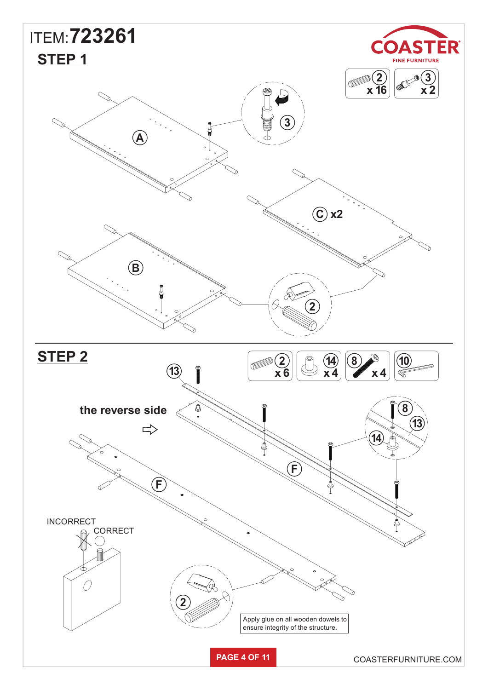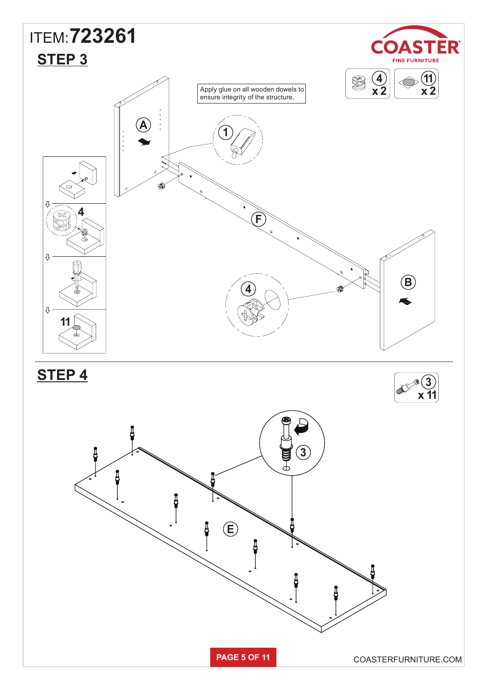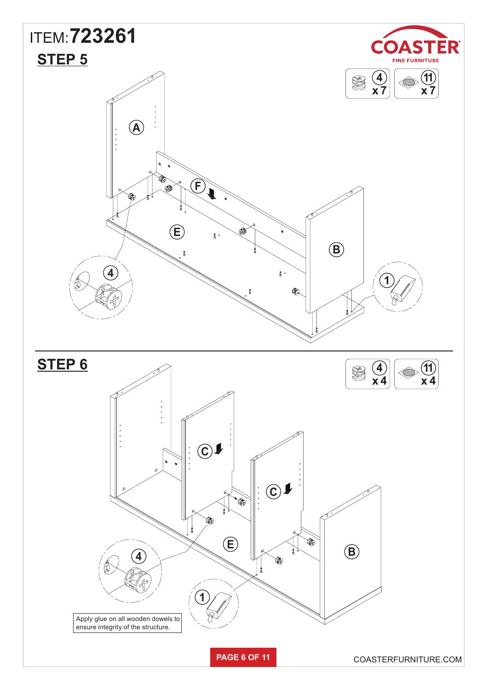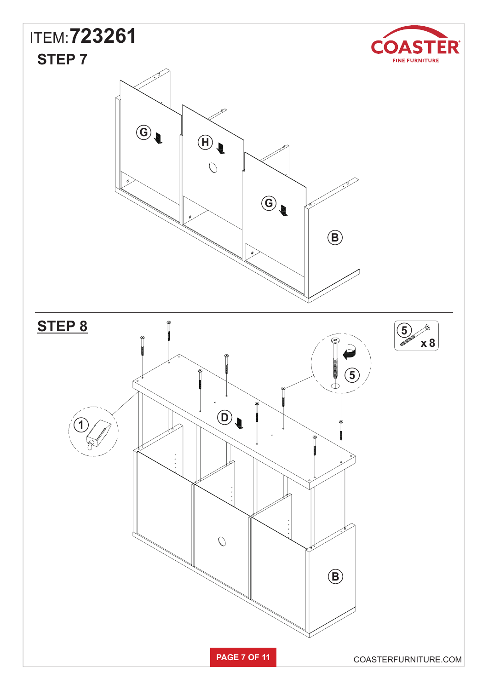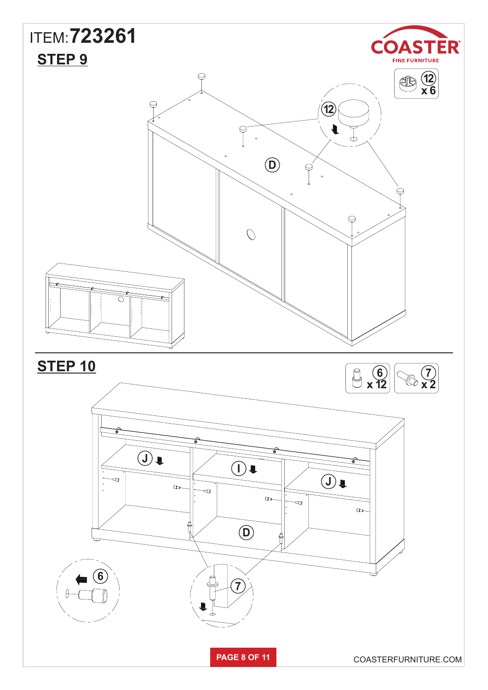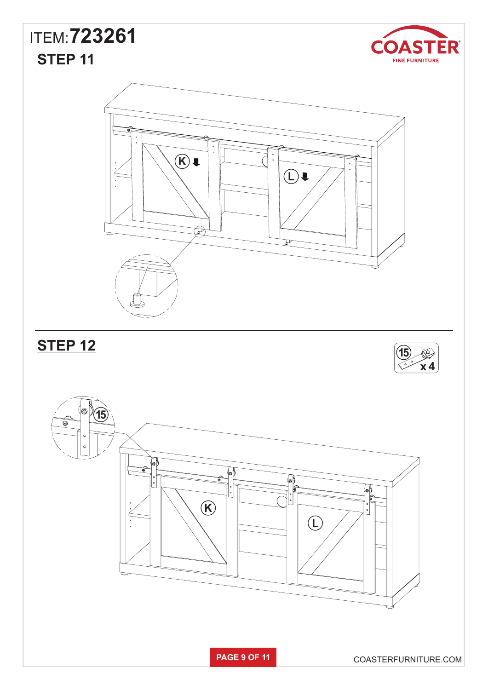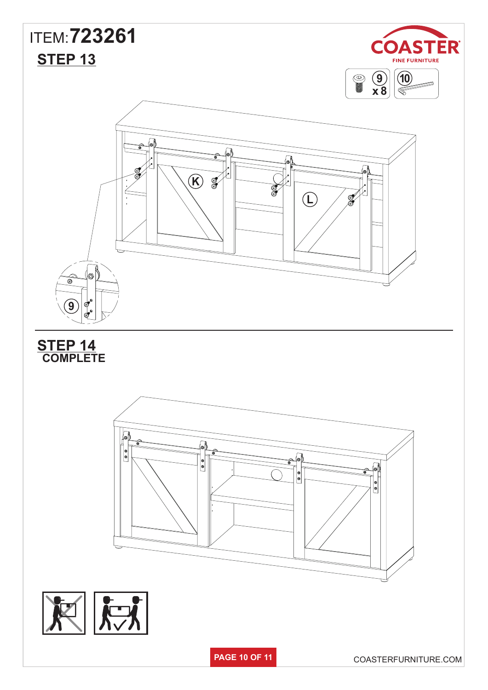